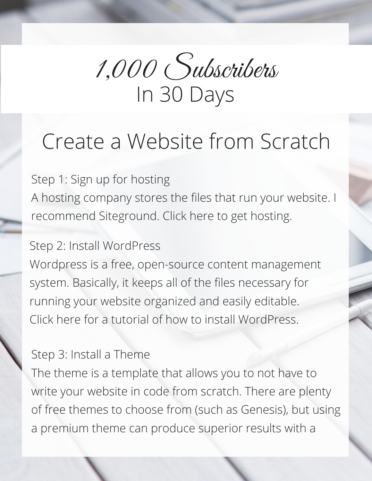

# Create a [Website](http://www.videofruit.com/) from Scratch

Step 1: Sign up for hosting A hosting company stores the files that run your website. I [recommend](https://www.siteground.com/index.htm?afcode=2cced172b0ab95cbdf1e1ce9b46611f4) Siteground. Click here to get hosting.

### Step 2: Install WordPress

Wordpress is a free, open-source content [management](https://www.youtube.com/watch?v=kRKpKS6ukyg) system. Basically, it keeps all of the files necessary for running your website organized and easily editable. Click here for a tutorial of how to install WordPress.

#### Step 3: Install a Theme

The theme is a template that allows you to not have to write your website in code from scratch. There are plenty of free themes to choose from (such as Genesis), but using a [premium](https://thrivethemes.com/) theme can produce superior results with a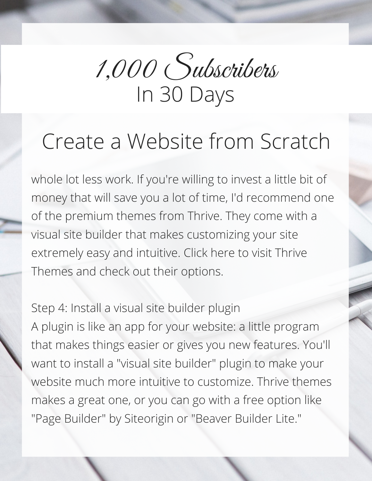

## Create a [Website](http://www.videofruit.com/) from Scratch

whole lot less work. If you're willing to invest a little bit of money that will save you a lot of time, I'd [recommend](https://thrivethemes.com/) one of the premium themes from Thrive. They come with a visual site builder that makes customizing your site extremely easy and intuitive. Click here to visit Thrive Themes and check out their options.

Step 4: Install a visual site builder plugin A plugin is like an app for your website: a little program that makes things easier or gives you new features. You'll want to install a "visual site builder" plugin to make your website much more intuitive to customize. Thrive themes makes a great one, or you can go with a free option like "Page Builder" by Siteorigin or "Beaver Builder Lite."